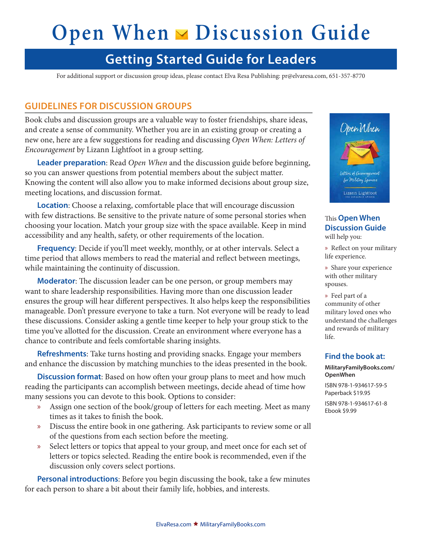# **Open When Discussion Guide**

# **Getting Started Guide for Leaders**

For additional support or discussion group ideas, please contact Elva Resa Publishing: pr@elvaresa.com, 651-357-8770

## **GUIDELINES FOR DISCUSSION GROUPS**

Book clubs and discussion groups are a valuable way to foster friendships, share ideas, and create a sense of community. Whether you are in an existing group or creating a new one, here are a few suggestions for reading and discussing *Open When: Letters of Encouragement* by Lizann Lightfoot in a group setting.

**Leader preparation**: Read *Open When* and the discussion guide before beginning, so you can answer questions from potential members about the subject matter. Knowing the content will also allow you to make informed decisions about group size, meeting locations, and discussion format.

**Location:** Choose a relaxing, comfortable place that will encourage discussion with few distractions. Be sensitive to the private nature of some personal stories when choosing your location. Match your group size with the space available. Keep in mind accessibility and any health, safety, or other requirements of the location.

**Frequency**: Decide if you'll meet weekly, monthly, or at other intervals. Select a time period that allows members to read the material and reflect between meetings, while maintaining the continuity of discussion.

**Moderator**: The discussion leader can be one person, or group members may want to share leadership responsibilities. Having more than one discussion leader ensures the group will hear different perspectives. It also helps keep the responsibilities manageable. Don't pressure everyone to take a turn. Not everyone will be ready to lead these discussions. Consider asking a gentle time keeper to help your group stick to the time you've allotted for the discussion. Create an environment where everyone has a chance to contribute and feels comfortable sharing insights.

**Refreshments**: Take turns hosting and providing snacks. Engage your members and enhance the discussion by matching munchies to the ideas presented in the book.

**Discussion format**: Based on how often your group plans to meet and how much reading the participants can accomplish between meetings, decide ahead of time how many sessions you can devote to this book. Options to consider:

- » Assign one section of the book/group of letters for each meeting. Meet as many times as it takes to finish the book.
- » Discuss the entire book in one gathering. Ask participants to review some or all of the questions from each section before the meeting.
- » Select letters or topics that appeal to your group, and meet once for each set of letters or topics selected. Reading the entire book is recommended, even if the discussion only covers select portions.

**Personal introductions**: Before you begin discussing the book, take a few minutes for each person to share a bit about their family life, hobbies, and interests.



### This **Open When Discussion Guide** will help you:

» Reflect on your military life experience.

» Share your experience with other military spouses.

» Feel part of a community of other military loved ones who understand the challenges and rewards of military life.

### **Find the book at:**

### **MilitaryFamilyBooks.com/ OpenWhen**

ISBN 978-1-934617-59-5 Paperback \$19.95

ISBN 978-1-934617-61-8 Ebook \$9.99